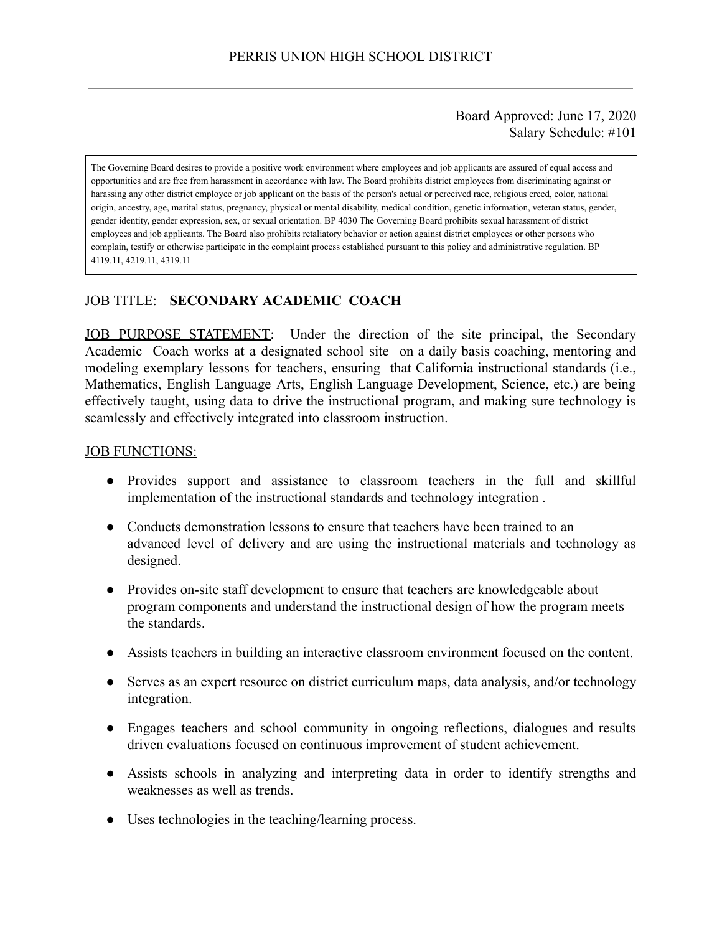### Board Approved: June 17, 2020 Salary Schedule: #101

The Governing Board desires to provide a positive work environment where employees and job applicants are assured of equal access and opportunities and are free from harassment in accordance with law. The Board prohibits district employees from discriminating against or harassing any other district employee or job applicant on the basis of the person's actual or perceived race, religious creed, color, national origin, ancestry, age, marital status, pregnancy, physical or mental disability, medical condition, genetic information, veteran status, gender, gender identity, gender expression, sex, or sexual orientation. BP 4030 The Governing Board prohibits sexual harassment of district employees and job applicants. The Board also prohibits retaliatory behavior or action against district employees or other persons who complain, testify or otherwise participate in the complaint process established pursuant to this policy and administrative regulation. BP 4119.11, 4219.11, 4319.11

### JOB TITLE: **SECONDARY ACADEMIC COACH**

JOB PURPOSE STATEMENT: Under the direction of the site principal, the Secondary Academic Coach works at a designated school site on a daily basis coaching, mentoring and modeling exemplary lessons for teachers, ensuring that California instructional standards (i.e., Mathematics, English Language Arts, English Language Development, Science, etc.) are being effectively taught, using data to drive the instructional program, and making sure technology is seamlessly and effectively integrated into classroom instruction.

#### **JOB FUNCTIONS:**

- Provides support and assistance to classroom teachers in the full and skillful implementation of the instructional standards and technology integration .
- Conducts demonstration lessons to ensure that teachers have been trained to an advanced level of delivery and are using the instructional materials and technology as designed.
- Provides on-site staff development to ensure that teachers are knowledgeable about program components and understand the instructional design of how the program meets the standards.
- Assists teachers in building an interactive classroom environment focused on the content.
- Serves as an expert resource on district curriculum maps, data analysis, and/or technology integration.
- Engages teachers and school community in ongoing reflections, dialogues and results driven evaluations focused on continuous improvement of student achievement.
- Assists schools in analyzing and interpreting data in order to identify strengths and weaknesses as well as trends.
- Uses technologies in the teaching/learning process.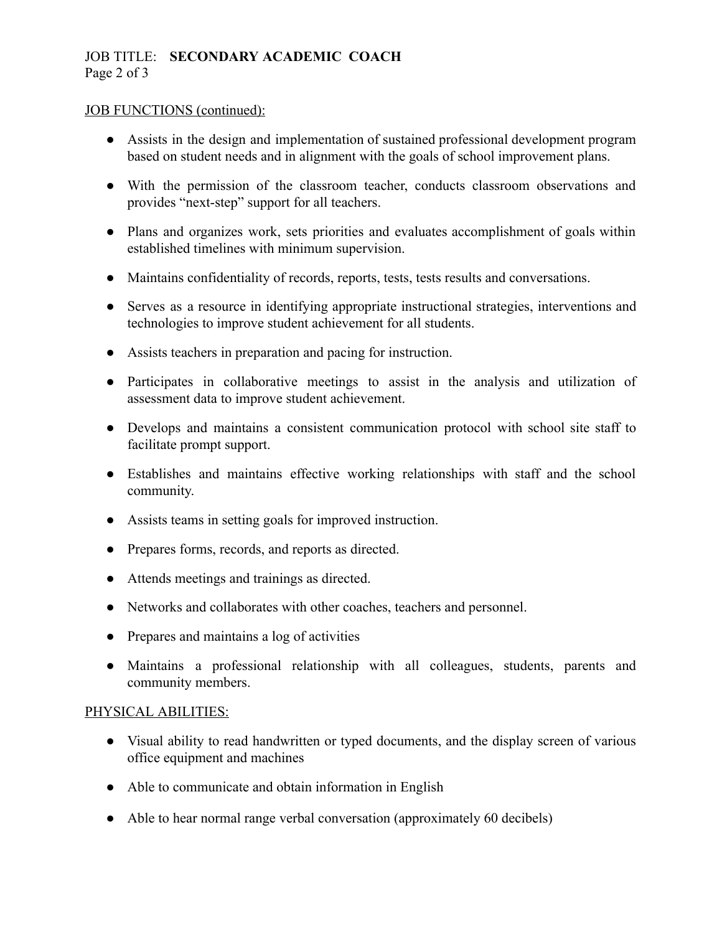# JOB TITLE: **SECONDARY ACADEMIC COACH**  Page 2 of 3

### JOB FUNCTIONS (continued):

- Assists in the design and implementation of sustained professional development program based on student needs and in alignment with the goals of school improvement plans.
- With the permission of the classroom teacher, conducts classroom observations and provides "next-step" support for all teachers.
- Plans and organizes work, sets priorities and evaluates accomplishment of goals within established timelines with minimum supervision.
- Maintains confidentiality of records, reports, tests, tests results and conversations.
- Serves as a resource in identifying appropriate instructional strategies, interventions and technologies to improve student achievement for all students.
- Assists teachers in preparation and pacing for instruction.
- Participates in collaborative meetings to assist in the analysis and utilization of assessment data to improve student achievement.
- Develops and maintains a consistent communication protocol with school site staff to facilitate prompt support.
- Establishes and maintains effective working relationships with staff and the school community.
- Assists teams in setting goals for improved instruction.
- Prepares forms, records, and reports as directed.
- Attends meetings and trainings as directed.
- Networks and collaborates with other coaches, teachers and personnel.
- Prepares and maintains a log of activities
- Maintains a professional relationship with all colleagues, students, parents and community members.

## PHYSICAL ABILITIES:

- Visual ability to read handwritten or typed documents, and the display screen of various office equipment and machines
- Able to communicate and obtain information in English
- Able to hear normal range verbal conversation (approximately 60 decibels)